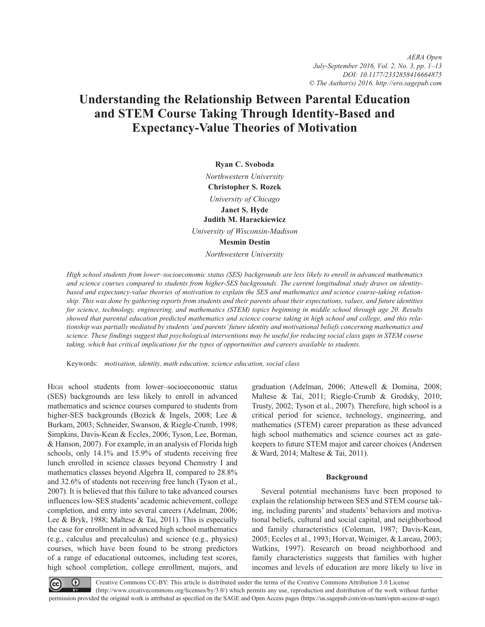# **Understanding the Relationship Between Parental Education and STEM Course Taking Through Identity-Based and Expectancy-Value Theories of Motivation**

**Ryan C. Svoboda**

*Northwestern University* **Christopher S. Rozek** *University of Chicago* **Janet S. Hyde Judith M. Harackiewicz** *University of Wisconsin-Madison* **Mesmin Destin**

*Northwestern University*

*High school students from lower–socioeconomic status (SES) backgrounds are less likely to enroll in advanced mathematics and science courses compared to students from higher-SES backgrounds. The current longitudinal study draws on identitybased and expectancy-value theories of motivation to explain the SES and mathematics and science course-taking relationship. This was done by gathering reports from students and their parents about their expectations, values, and future identities for science, technology, engineering, and mathematics (STEM) topics beginning in middle school through age 20. Results showed that parental education predicted mathematics and science course taking in high school and college, and this relationship was partially mediated by students' and parents' future identity and motivational beliefs concerning mathematics and science. These findings suggest that psychological interventions may be useful for reducing social class gaps in STEM course taking, which has critical implications for the types of opportunities and careers available to students.*

Keywords: *motivation, identity, math education, science education, social class*

High school students from lower–socioeconomic status (SES) backgrounds are less likely to enroll in advanced mathematics and science courses compared to students from higher-SES backgrounds (Bozick & Ingels, 2008; Lee & Burkam, 2003; Schneider, Swanson, & Riegle-Crumb, 1998; Simpkins, Davis-Kean & Eccles, 2006; Tyson, Lee, Borman, & Hanson, 2007). For example, in an analysis of Florida high schools, only 14.1% and 15.9% of students receiving free lunch enrolled in science classes beyond Chemistry I and mathematics classes beyond Algebra II, compared to 28.8% and 32.6% of students not receiving free lunch (Tyson et al., 2007). It is believed that this failure to take advanced courses influences low-SES students' academic achievement, college completion, and entry into several careers (Adelman, 2006; Lee & Bryk, 1988; Maltese & Tai, 2011). This is especially the case for enrollment in advanced high school mathematics (e.g., calculus and precalculus) and science (e.g., physics) courses, which have been found to be strong predictors of a range of educational outcomes, including test scores, high school completion, college enrollment, majors, and graduation (Adelman, 2006; Attewell & Domina, 2008; Maltese & Tai, 2011; Riegle-Crumb & Grodsky, 2010; Trusty, 2002; Tyson et al., 2007). Therefore, high school is a critical period for science, technology, engineering, and mathematics (STEM) career preparation as these advanced high school mathematics and science courses act as gatekeepers to future STEM major and career choices (Andersen & Ward, 2014; Maltese & Tai, 2011).

## **Background**

Several potential mechanisms have been proposed to explain the relationship between SES and STEM course taking, including parents' and students' behaviors and motivational beliefs, cultural and social capital, and neighborhood and family characteristics (Coleman, 1987; Davis-Kean, 2005; Eccles et al., 1993; Horvat, Weiniger, & Lareau, 2003; Watkins, 1997). Research on broad neighborhood and family characteristics suggests that families with higher incomes and levels of education are more likely to live in

Creative Commons CC-BY: This article is distributed under the terms of the Creative Commons Attribution 3.0 License  $_{\odot}$  $_{\rm (cc)}$ (http://www.creativecommons.org/licenses/by/3.0/) which permits any use, reproduction and distribution of the work without further permission provided the original work is attributed as specified on the SAGE and Open Access pages (https://us.sagepub.com/en-us/nam/open-access-at-sage).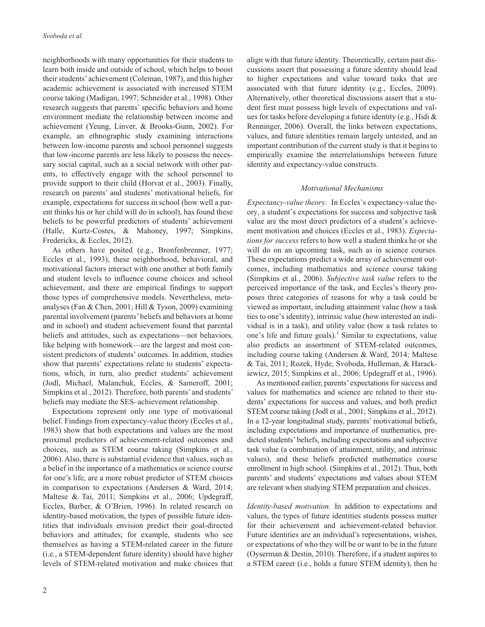neighborhoods with many opportunities for their students to learn both inside and outside of school, which helps to boost their students' achievement (Coleman, 1987), and this higher academic achievement is associated with increased STEM course taking (Madigan, 1997; Schneider et al., 1998). Other research suggests that parents' specific behaviors and home environment mediate the relationship between income and achievement (Yeung, Linver, & Brooks-Gunn, 2002). For example, an ethnographic study examining interactions between low-income parents and school personnel suggests that low-income parents are less likely to possess the necessary social capital, such as a social network with other parents, to effectively engage with the school personnel to provide support to their child (Horvat et al., 2003). Finally, research on parents' and students' motivational beliefs, for example, expectations for success in school (how well a parent thinks his or her child will do in school), has found these beliefs to be powerful predictors of students' achievement (Halle, Kurtz-Costes, & Mahoney, 1997; Simpkins, Fredericks, & Eccles, 2012).

As others have posited (e.g., Bronfenbrenner, 1977; Eccles et al., 1993), these neighborhood, behavioral, and motivational factors interact with one another at both family and student levels to influence course choices and school achievement, and there are empirical findings to support those types of comprehensive models. Nevertheless, metaanalyses (Fan & Chen, 2001; Hill & Tyson, 2009) examining parental involvement (parents' beliefs and behaviors at home and in school) and student achievement found that parental beliefs and attitudes, such as expectations—not behaviors, like helping with homework—are the largest and most consistent predictors of students' outcomes. In addition, studies show that parents' expectations relate to students' expectations, which, in turn, also predict students' achievement (Jodl, Michael, Malanchuk, Eccles, & Sameroff, 2001; Simpkins et al., 2012). Therefore, both parents' and students' beliefs may mediate the SES–achievement relationship.

Expectations represent only one type of motivational belief. Findings from expectancy-value theory (Eccles et al., 1983) show that both expectations and values are the most proximal predictors of achievement-related outcomes and choices, such as STEM course taking (Simpkins et al., 2006). Also, there is substantial evidence that values, such as a belief in the importance of a mathematics or science course for one's life, are a more robust predictor of STEM choices in comparison to expectations (Andersen & Ward, 2014; Maltese & Tai, 2011; Simpkins et al., 2006; Updegraff, Eccles, Barber, & O'Brien, 1996). In related research on identity-based motivation, the types of possible future identities that individuals envision predict their goal-directed behaviors and attitudes; for example, students who see themselves as having a STEM-related career in the future (i.e., a STEM-dependent future identity) should have higher levels of STEM-related motivation and make choices that align with that future identity. Theoretically, certain past discussions assert that possessing a future identity should lead to higher expectations and value toward tasks that are associated with that future identity (e.g., Eccles, 2009). Alternatively, other theoretical discussions assert that a student first must possess high levels of expectations and values for tasks before developing a future identity (e.g., Hidi & Renninger, 2006). Overall, the links between expectations, values, and future identities remain largely untested, and an important contribution of the current study is that it begins to empirically examine the interrelationships between future identity and expectancy-value constructs.

# *Motivational Mechanisms*

*Expectancy-value theory.* In Eccles's expectancy-value theory, a student's expectations for success and subjective task value are the most direct predictors of a student's achievement motivation and choices (Eccles et al., 1983). *Expectations for success* refers to how well a student thinks he or she will do on an upcoming task, such as in science courses. These expectations predict a wide array of achievement outcomes, including mathematics and science course taking (Simpkins et al., 2006). *Subjective task value* refers to the perceived importance of the task, and Eccles's theory proposes three categories of reasons for why a task could be viewed as important, including attainment value (how a task ties to one's identity), intrinsic value (how interested an individual is in a task), and utility value (how a task relates to one's life and future goals).<sup>1</sup> Similar to expectations, value also predicts an assortment of STEM-related outcomes, including course taking (Andersen & Ward, 2014; Maltese & Tai, 2011; Rozek, Hyde, Svoboda, Hulleman, & Harackiewicz, 2015; Simpkins et al., 2006; Updegraff et al., 1996).

As mentioned earlier, parents' expectations for success and values for mathematics and science are related to their students' expectations for success and values, and both predict STEM course taking (Jodl et al., 2001; Simpkins et al., 2012). In a 12-year longitudinal study, parents' motivational beliefs, including expectations and importance of mathematics, predicted students' beliefs, including expectations and subjective task value (a combination of attainment, utility, and intrinsic values), and these beliefs predicted mathematics course enrollment in high school. (Simpkins et al., 2012). Thus, both parents' and students' expectations and values about STEM are relevant when studying STEM preparation and choices.

*Identity-based motivation.* In addition to expectations and values, the types of future identities students possess matter for their achievement and achievement-related behavior. Future identities are an individual's representations, wishes, or expectations of who they will be or want to be in the future (Oyserman & Destin, 2010). Therefore, if a student aspires to a STEM career (i.e., holds a future STEM identity), then he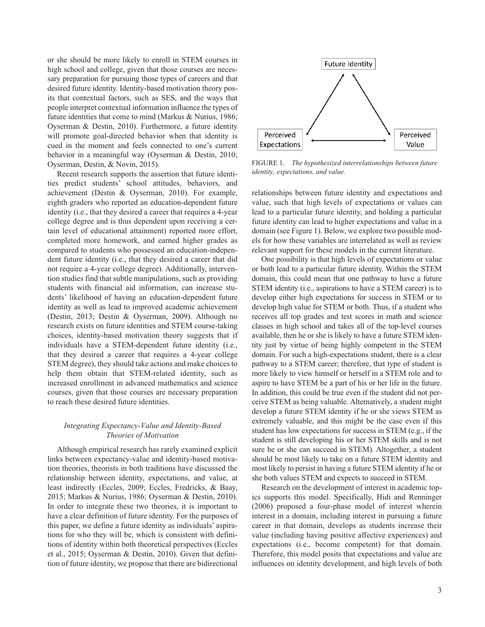or she should be more likely to enroll in STEM courses in high school and college, given that those courses are necessary preparation for pursuing those types of careers and that desired future identity. Identity-based motivation theory posits that contextual factors, such as SES, and the ways that people interpret contextual information influence the types of future identities that come to mind (Markus & Nurius, 1986; Oyserman & Destin, 2010). Furthermore, a future identity will promote goal-directed behavior when that identity is cued in the moment and feels connected to one's current behavior in a meaningful way (Oyserman & Destin, 2010; Oyserman, Destin, & Novin, 2015).

Recent research supports the assertion that future identities predict students' school attitudes, behaviors, and achievement (Destin & Oyserman, 2010). For example, eighth graders who reported an education-dependent future identity (i.e., that they desired a career that requires a 4-year college degree and is thus dependent upon receiving a certain level of educational attainment) reported more effort, completed more homework, and earned higher grades as compared to students who possessed an education-independent future identity (i.e., that they desired a career that did not require a 4-year college degree). Additionally, intervention studies find that subtle manipulations, such as providing students with financial aid information, can increase students' likelihood of having an education-dependent future identity as well as lead to improved academic achievement (Destin, 2013; Destin & Oyserman, 2009). Although no research exists on future identities and STEM course-taking choices, identity-based motivation theory suggests that if individuals have a STEM-dependent future identity (i.e., that they desired a career that requires a 4-year college STEM degree), they should take actions and make choices to help them obtain that STEM-related identity, such as increased enrollment in advanced mathematics and science courses, given that those courses are necessary preparation to reach these desired future identities.

# *Integrating Expectancy-Value and Identity-Based Theories of Motivation*

Although empirical research has rarely examined explicit links between expectancy-value and identity-based motivation theories, theorists in both traditions have discussed the relationship between identity, expectations, and value, at least indirectly (Eccles, 2009; Eccles, Fredricks, & Baay, 2015; Markus & Nurius, 1986; Oyserman & Destin, 2010). In order to integrate these two theories, it is important to have a clear definition of future identity. For the purposes of this paper, we define a future identity as individuals' aspirations for who they will be, which is consistent with definitions of identity within both theoretical perspectives (Eccles et al., 2015; Oyserman & Destin, 2010). Given that definition of future identity, we propose that there are bidirectional



FIGURE 1. *The hypothesized interrelationships between future identity, expectations, and value.*

relationships between future identity and expectations and value, such that high levels of expectations or values can lead to a particular future identity, and holding a particular future identity can lead to higher expectations and value in a domain (see Figure 1). Below, we explore two possible models for how these variables are interrelated as well as review relevant support for these models in the current literature.

One possibility is that high levels of expectations or value or both lead to a particular future identity. Within the STEM domain, this could mean that one pathway to have a future STEM identity (i.e., aspirations to have a STEM career) is to develop either high expectations for success in STEM or to develop high value for STEM or both. Thus, if a student who receives all top grades and test scores in math and science classes in high school and takes all of the top-level courses available, then he or she is likely to have a future STEM identity just by virtue of being highly competent in the STEM domain. For such a high-expectations student, there is a clear pathway to a STEM career; therefore, that type of student is more likely to view himself or herself in a STEM role and to aspire to have STEM be a part of his or her life in the future. In addition, this could be true even if the student did not perceive STEM as being valuable. Alternatively, a student might develop a future STEM identity if he or she views STEM as extremely valuable, and this might be the case even if this student has low expectations for success in STEM (e.g., if the student is still developing his or her STEM skills and is not sure he or she can succeed in STEM). Altogether, a student should be most likely to take on a future STEM identity and most likely to persist in having a future STEM identity if he or she both values STEM and expects to succeed in STEM.

Research on the development of interest in academic topics supports this model. Specifically, Hidi and Renninger (2006) proposed a four-phase model of interest wherein interest in a domain, including interest in pursuing a future career in that domain, develops as students increase their value (including having positive affective experiences) and expectations (i.e., become competent) for that domain. Therefore, this model posits that expectations and value are influences on identity development, and high levels of both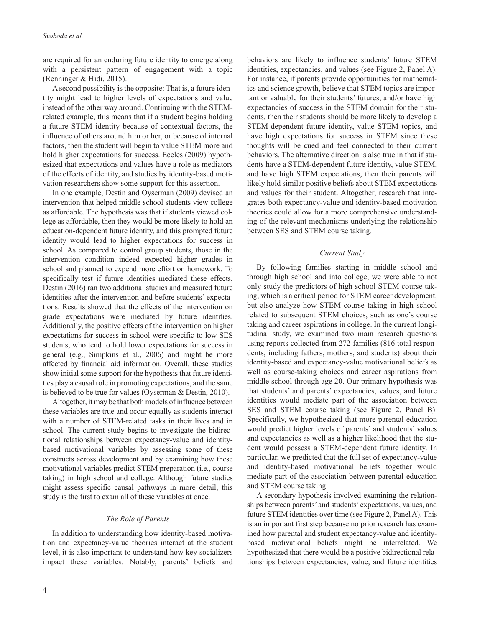are required for an enduring future identity to emerge along with a persistent pattern of engagement with a topic (Renninger & Hidi, 2015).

A second possibility is the opposite: That is, a future identity might lead to higher levels of expectations and value instead of the other way around. Continuing with the STEMrelated example, this means that if a student begins holding a future STEM identity because of contextual factors, the influence of others around him or her, or because of internal factors, then the student will begin to value STEM more and hold higher expectations for success. Eccles (2009) hypothesized that expectations and values have a role as mediators of the effects of identity, and studies by identity-based motivation researchers show some support for this assertion.

In one example, Destin and Oyserman (2009) devised an intervention that helped middle school students view college as affordable. The hypothesis was that if students viewed college as affordable, then they would be more likely to hold an education-dependent future identity, and this prompted future identity would lead to higher expectations for success in school. As compared to control group students, those in the intervention condition indeed expected higher grades in school and planned to expend more effort on homework. To specifically test if future identities mediated these effects, Destin (2016) ran two additional studies and measured future identities after the intervention and before students' expectations. Results showed that the effects of the intervention on grade expectations were mediated by future identities. Additionally, the positive effects of the intervention on higher expectations for success in school were specific to low-SES students, who tend to hold lower expectations for success in general (e.g., Simpkins et al., 2006) and might be more affected by financial aid information. Overall, these studies show initial some support for the hypothesis that future identities play a causal role in promoting expectations, and the same is believed to be true for values (Oyserman & Destin, 2010).

Altogether, it may be that both models of influence between these variables are true and occur equally as students interact with a number of STEM-related tasks in their lives and in school. The current study begins to investigate the bidirectional relationships between expectancy-value and identitybased motivational variables by assessing some of these constructs across development and by examining how these motivational variables predict STEM preparation (i.e., course taking) in high school and college. Although future studies might assess specific causal pathways in more detail, this study is the first to exam all of these variables at once.

## *The Role of Parents*

In addition to understanding how identity-based motivation and expectancy-value theories interact at the student level, it is also important to understand how key socializers impact these variables. Notably, parents' beliefs and behaviors are likely to influence students' future STEM identities, expectancies, and values (see Figure 2, Panel A). For instance, if parents provide opportunities for mathematics and science growth, believe that STEM topics are important or valuable for their students' futures, and/or have high expectancies of success in the STEM domain for their students, then their students should be more likely to develop a STEM-dependent future identity, value STEM topics, and have high expectations for success in STEM since these thoughts will be cued and feel connected to their current behaviors. The alternative direction is also true in that if students have a STEM-dependent future identity, value STEM, and have high STEM expectations, then their parents will likely hold similar positive beliefs about STEM expectations and values for their student. Altogether, research that integrates both expectancy-value and identity-based motivation theories could allow for a more comprehensive understanding of the relevant mechanisms underlying the relationship between SES and STEM course taking.

## *Current Study*

By following families starting in middle school and through high school and into college, we were able to not only study the predictors of high school STEM course taking, which is a critical period for STEM career development, but also analyze how STEM course taking in high school related to subsequent STEM choices, such as one's course taking and career aspirations in college. In the current longitudinal study, we examined two main research questions using reports collected from 272 families (816 total respondents, including fathers, mothers, and students) about their identity-based and expectancy-value motivational beliefs as well as course-taking choices and career aspirations from middle school through age 20. Our primary hypothesis was that students' and parents' expectancies, values, and future identities would mediate part of the association between SES and STEM course taking (see Figure 2, Panel B). Specifically, we hypothesized that more parental education would predict higher levels of parents' and students' values and expectancies as well as a higher likelihood that the student would possess a STEM-dependent future identity. In particular, we predicted that the full set of expectancy-value and identity-based motivational beliefs together would mediate part of the association between parental education and STEM course taking.

A secondary hypothesis involved examining the relationships between parents' and students' expectations, values, and future STEM identities over time (see Figure 2, Panel A). This is an important first step because no prior research has examined how parental and student expectancy-value and identitybased motivational beliefs might be interrelated. We hypothesized that there would be a positive bidirectional relationships between expectancies, value, and future identities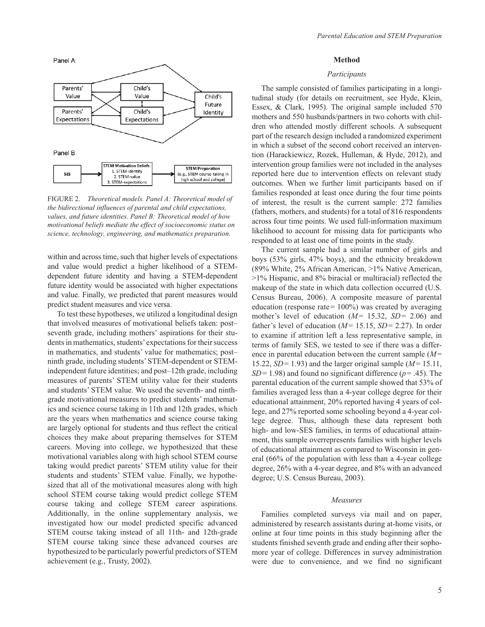

FIGURE 2. Theoretical models. Panel A: Theoretical model of *the bidirectional influences of parental and child expectations, values, and future identities. Panel B: Theoretical model of how motivational beliefs mediate the effect of socioeconomic status on science, technology, engineering, and mathematics preparation.*

within and across time, such that higher levels of expectations and value would predict a higher likelihood of a STEMdependent future identity and having a STEM-dependent future identity would be associated with higher expectations and value. Finally, we predicted that parent measures would predict student measures and vice versa.

To test these hypotheses, we utilized a longitudinal design that involved measures of motivational beliefs taken: post– seventh grade, including mothers' aspirations for their students in mathematics, students' expectations for their success in mathematics, and students' value for mathematics; post– ninth grade, including students' STEM-dependent or STEMindependent future identities; and post–12th grade, including measures of parents' STEM utility value for their students and students' STEM value. We used the seventh- and ninthgrade motivational measures to predict students' mathematics and science course taking in 11th and 12th grades, which are the years when mathematics and science course taking are largely optional for students and thus reflect the critical choices they make about preparing themselves for STEM careers. Moving into college, we hypothesized that these motivational variables along with high school STEM course taking would predict parents' STEM utility value for their students and students' STEM value. Finally, we hypothesized that all of the motivational measures along with high school STEM course taking would predict college STEM course taking and college STEM career aspirations. Additionally, in the online supplementary analysis, we investigated how our model predicted specific advanced STEM course taking instead of all 11th- and 12th-grade STEM course taking since these advanced courses are hypothesized to be particularly powerful predictors of STEM achievement (e.g., Trusty, 2002).

#### **Method**

## *Participants*

The sample consisted of families participating in a longitudinal study (for details on recruitment, see Hyde, Klein, Essex, & Clark, 1995). The original sample included 570 mothers and 550 husbands/partners in two cohorts with children who attended mostly different schools. A subsequent part of the research design included a randomized experiment in which a subset of the second cohort received an intervention (Harackiewicz, Rozek, Hulleman, & Hyde, 2012), and intervention group families were not included in the analyses reported here due to intervention effects on relevant study outcomes. When we further limit participants based on if families responded at least once during the four time points of interest, the result is the current sample: 272 families (fathers, mothers, and students) for a total of 816 respondents across four time points. We used full-information maximum likelihood to account for missing data for participants who responded to at least one of time points in the study.

The current sample had a similar number of girls and boys (53% girls, 47% boys), and the ethnicity breakdown (89% White, 2% African American, >1% Native American, >1% Hispanic, and 8% biracial or multiracial) reflected the makeup of the state in which data collection occurred (U.S. Census Bureau, 2006). A composite measure of parental education (response rate =  $100\%$ ) was created by averaging mother's level of education (*M*= 15.32, *SD*= 2.06) and father's level of education (*M*= 15.15, *SD*= 2.27). In order to examine if attrition left a less representative sample, in terms of family SES, we tested to see if there was a difference in parental education between the current sample (*M*= 15.22, *SD*= 1.93) and the larger original sample (*M*= 15.11, *SD* = 1.98) and found no significant difference ( $p = .45$ ). The parental education of the current sample showed that 53% of families averaged less than a 4-year college degree for their educational attainment, 20% reported having 4 years of college, and 27% reported some schooling beyond a 4-year college degree. Thus, although these data represent both high- and low-SES families, in terms of educational attainment, this sample overrepresents families with higher levels of educational attainment as compared to Wisconsin in general (66% of the population with less than a 4-year college degree, 26% with a 4-year degree, and 8% with an advanced degree; U.S. Census Bureau, 2003).

## *Measures*

Families completed surveys via mail and on paper, administered by research assistants during at-home visits, or online at four time points in this study beginning after the students finished seventh grade and ending after their sophomore year of college. Differences in survey administration were due to convenience, and we find no significant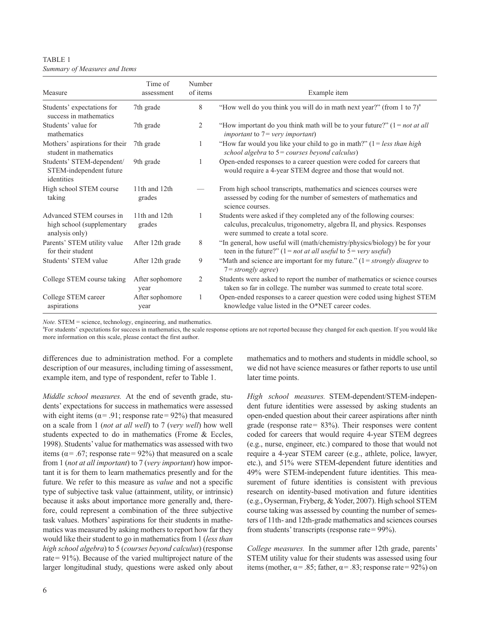TABLE 1 *Summary of Measures and Items*

| Measure                                                                  | Time of<br>assessment   | Number<br>of items | Example item                                                                                                                                                                           |
|--------------------------------------------------------------------------|-------------------------|--------------------|----------------------------------------------------------------------------------------------------------------------------------------------------------------------------------------|
| Students' expectations for<br>success in mathematics                     | 7th grade               | 8                  | "How well do you think you will do in math next year?" (from 1 to $7)^a$                                                                                                               |
| Students' value for<br>mathematics                                       | 7th grade               | 2                  | "How important do you think math will be to your future?" $(1 = not at all$<br>important to $7 = very$ important)                                                                      |
| Mothers' aspirations for their<br>student in mathematics                 | 7th grade               |                    | "How far would you like your child to go in math?" $(1 = less than high)$<br>school algebra to $5 = \text{course}$ beyond calculus)                                                    |
| Students' STEM-dependent/<br>STEM-independent future<br>identities       | 9th grade               | 1                  | Open-ended responses to a career question were coded for careers that<br>would require a 4-year STEM degree and those that would not.                                                  |
| High school STEM course<br>taking                                        | 11th and 12th<br>grades |                    | From high school transcripts, mathematics and sciences courses were<br>assessed by coding for the number of semesters of mathematics and<br>science courses.                           |
| Advanced STEM courses in<br>high school (supplementary<br>analysis only) | 11th and 12th<br>grades | 1                  | Students were asked if they completed any of the following courses:<br>calculus, precalculus, trigonometry, algebra II, and physics. Responses<br>were summed to create a total score. |
| Parents' STEM utility value<br>for their student                         | After 12th grade        | 8                  | "In general, how useful will (math/chemistry/physics/biology) be for your<br>teen in the future?" $(1 = not at all useful to 5 = very useful)$                                         |
| Students' STEM value                                                     | After 12th grade        | 9                  | "Math and science are important for my future." $(1 = strongly \, disagree \, to \,$<br>$7 = strongly agree$ )                                                                         |
| College STEM course taking                                               | After sophomore<br>year | 2                  | Students were asked to report the number of mathematics or science courses<br>taken so far in college. The number was summed to create total score.                                    |
| College STEM career<br>aspirations                                       | After sophomore<br>year | 1                  | Open-ended responses to a career question were coded using highest STEM<br>knowledge value listed in the O*NET career codes.                                                           |

*Note.* STEM = science, technology, engineering, and mathematics.

a For students' expectations for success in mathematics, the scale response options are not reported because they changed for each question. If you would like more information on this scale, please contact the first author.

differences due to administration method. For a complete description of our measures, including timing of assessment, example item, and type of respondent, refer to Table 1.

*Middle school measures.* At the end of seventh grade, students' expectations for success in mathematics were assessed with eight items ( $\alpha$ = .91; response rate= 92%) that measured on a scale from 1 (*not at all well*) to 7 (*very well*) how well students expected to do in mathematics (Frome & Eccles, 1998). Students' value for mathematics was assessed with two items ( $\alpha$ = .67; response rate= 92%) that measured on a scale from 1 (*not at all important*) to 7 (*very important*) how important it is for them to learn mathematics presently and for the future. We refer to this measure as *value* and not a specific type of subjective task value (attainment, utility, or intrinsic) because it asks about importance more generally and, therefore, could represent a combination of the three subjective task values. Mothers' aspirations for their students in mathematics was measured by asking mothers to report how far they would like their student to go in mathematics from 1 (*less than high school algebra*) to 5 (*courses beyond calculus*) (response rate= 91%). Because of the varied multiproject nature of the larger longitudinal study, questions were asked only about mathematics and to mothers and students in middle school, so we did not have science measures or father reports to use until later time points.

*High school measures.* STEM-dependent/STEM-independent future identities were assessed by asking students an open-ended question about their career aspirations after ninth grade (response rate= 83%). Their responses were content coded for careers that would require 4-year STEM degrees (e.g., nurse, engineer, etc.) compared to those that would not require a 4-year STEM career (e.g., athlete, police, lawyer, etc.), and 51% were STEM-dependent future identities and 49% were STEM-independent future identities. This measurement of future identities is consistent with previous research on identity-based motivation and future identities (e.g., Oyserman, Fryberg, & Yoder, 2007). High school STEM course taking was assessed by counting the number of semesters of 11th- and 12th-grade mathematics and sciences courses from students' transcripts (response rate= 99%).

*College measures.* In the summer after 12th grade, parents' STEM utility value for their students was assessed using four items (mother,  $\alpha$  = .85; father,  $\alpha$  = .83; response rate = 92%) on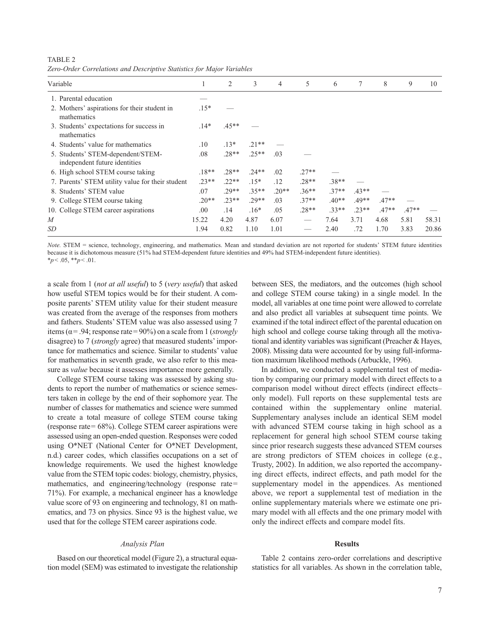| TABLE 2 |                                                                        |  |  |  |  |
|---------|------------------------------------------------------------------------|--|--|--|--|
|         | Zero-Order Correlations and Descriptive Statistics for Major Variables |  |  |  |  |

| Variable                                                           | 1       | 2       | 3       | $\overline{4}$ | 5       | 6       | 7       | 8       | 9       | 10    |
|--------------------------------------------------------------------|---------|---------|---------|----------------|---------|---------|---------|---------|---------|-------|
| 1. Parental education                                              |         |         |         |                |         |         |         |         |         |       |
| 2. Mothers' aspirations for their student in<br>mathematics        | $.15*$  |         |         |                |         |         |         |         |         |       |
| 3. Students' expectations for success in<br>mathematics            | $.14*$  | $.45**$ |         |                |         |         |         |         |         |       |
| 4. Students' value for mathematics                                 | .10     | $.13*$  | $.21**$ |                |         |         |         |         |         |       |
| 5. Students' STEM-dependent/STEM-<br>independent future identities | .08     | $.28**$ | $.25**$ | .03            |         |         |         |         |         |       |
| 6. High school STEM course taking                                  | $.18**$ | $.28**$ | $.24**$ | .02            | $.27**$ |         |         |         |         |       |
| 7. Parents' STEM utility value for their student                   | $.23**$ | $.22**$ | $.15*$  | .12            | $.28**$ | $.38**$ |         |         |         |       |
| 8. Students' STEM value                                            | .07     | $.29**$ | $.35**$ | $.20**$        | $.36**$ | $.37**$ | $.43**$ |         |         |       |
| 9. College STEM course taking                                      | $.20**$ | $.23**$ | $.29**$ | .03            | $.37**$ | $.40**$ | $.49**$ | $.47**$ |         |       |
| 10. College STEM career aspirations                                | .00     | .14     | $.16*$  | .05            | $.28**$ | $.33**$ | $.23**$ | $.47**$ | $.47**$ |       |
| $\overline{M}$                                                     | 15.22   | 4.20    | 4.87    | 6.07           |         | 7.64    | 3.71    | 4.68    | 5.81    | 58.31 |
| SD                                                                 | 1.94    | 0.82    | 1.10    | 1.01           |         | 2.40    | .72     | 1.70    | 3.83    | 20.86 |

*Note.* STEM = science, technology, engineering, and mathematics. Mean and standard deviation are not reported for students' STEM future identities because it is dichotomous measure (51% had STEM-dependent future identities and 49% had STEM-independent future identities). \**p*< .05, \*\**p*< .01.

a scale from 1 (*not at all useful*) to 5 (*very useful*) that asked how useful STEM topics would be for their student. A composite parents' STEM utility value for their student measure was created from the average of the responses from mothers and fathers. Students' STEM value was also assessed using 7 items (α= .94; response rate= 90%) on a scale from 1 (*strongly* disagree) to 7 (*strongly* agree) that measured students' importance for mathematics and science. Similar to students' value for mathematics in seventh grade, we also refer to this measure as *value* because it assesses importance more generally.

College STEM course taking was assessed by asking students to report the number of mathematics or science semesters taken in college by the end of their sophomore year. The number of classes for mathematics and science were summed to create a total measure of college STEM course taking (response rate= 68%). College STEM career aspirations were assessed using an open-ended question. Responses were coded using O\*NET (National Center for O\*NET Development, n.d.) career codes, which classifies occupations on a set of knowledge requirements. We used the highest knowledge value from the STEM topic codes: biology, chemistry, physics, mathematics, and engineering/technology (response rate= 71%). For example, a mechanical engineer has a knowledge value score of 93 on engineering and technology, 81 on mathematics, and 73 on physics. Since 93 is the highest value, we used that for the college STEM career aspirations code.

## *Analysis Plan*

Based on our theoretical model (Figure 2), a structural equation model (SEM) was estimated to investigate the relationship between SES, the mediators, and the outcomes (high school and college STEM course taking) in a single model. In the model, all variables at one time point were allowed to correlate and also predict all variables at subsequent time points. We examined if the total indirect effect of the parental education on high school and college course taking through all the motivational and identity variables was significant (Preacher & Hayes, 2008). Missing data were accounted for by using full-information maximum likelihood methods (Arbuckle, 1996).

In addition, we conducted a supplemental test of mediation by comparing our primary model with direct effects to a comparison model without direct effects (indirect effects– only model). Full reports on these supplemental tests are contained within the supplementary online material. Supplementary analyses include an identical SEM model with advanced STEM course taking in high school as a replacement for general high school STEM course taking since prior research suggests these advanced STEM courses are strong predictors of STEM choices in college (e.g., Trusty, 2002). In addition, we also reported the accompanying direct effects, indirect effects, and path model for the supplementary model in the appendices. As mentioned above, we report a supplemental test of mediation in the online supplementary materials where we estimate one primary model with all effects and the one primary model with only the indirect effects and compare model fits.

## **Results**

Table 2 contains zero-order correlations and descriptive statistics for all variables. As shown in the correlation table,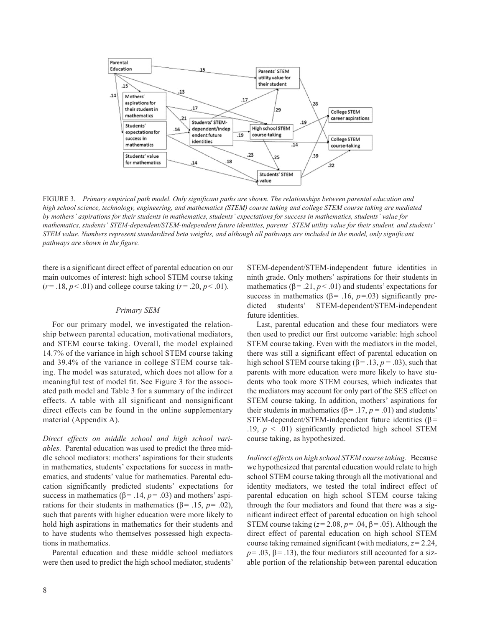

FIGURE 3. Primary empirical path model. Only significant paths are shown. The relationships between parental education and *high school science, technology, engineering, and mathematics (STEM) course taking and college STEM course taking are mediated by mothers' aspirations for their students in mathematics, students' expectations for success in mathematics, students' value for mathematics, students' STEM-dependent/STEM-independent future identities, parents' STEM utility value for their student, and students' STEM value. Numbers represent standardized beta weights, and although all pathways are included in the model, only significant pathways are shown in the figure.*

there is a significant direct effect of parental education on our main outcomes of interest: high school STEM course taking  $(r = .18, p < .01)$  and college course taking  $(r = .20, p < .01)$ .

#### *Primary SEM*

For our primary model, we investigated the relationship between parental education, motivational mediators, and STEM course taking. Overall, the model explained 14.7% of the variance in high school STEM course taking and 39.4% of the variance in college STEM course taking. The model was saturated, which does not allow for a meaningful test of model fit. See Figure 3 for the associated path model and Table 3 for a summary of the indirect effects. A table with all significant and nonsignificant direct effects can be found in the online supplementary material (Appendix A).

*Direct effects on middle school and high school variables.* Parental education was used to predict the three middle school mediators: mothers' aspirations for their students in mathematics, students' expectations for success in mathematics, and students' value for mathematics. Parental education significantly predicted students' expectations for success in mathematics ( $\beta$ = .14,  $p$  = .03) and mothers' aspirations for their students in mathematics (β= .15, *p*= .02), such that parents with higher education were more likely to hold high aspirations in mathematics for their students and to have students who themselves possessed high expectations in mathematics.

Parental education and these middle school mediators were then used to predict the high school mediator, students' STEM-dependent/STEM-independent future identities in ninth grade. Only mothers' aspirations for their students in mathematics ( $\beta$ = .21,  $p$  < .01) and students' expectations for success in mathematics ( $\beta$ = .16,  $p$ =.03) significantly predicted students' STEM-dependent/STEM-independent future identities.

Last, parental education and these four mediators were then used to predict our first outcome variable: high school STEM course taking. Even with the mediators in the model, there was still a significant effect of parental education on high school STEM course taking ( $\beta$ = .13, *p* = .03), such that parents with more education were more likely to have students who took more STEM courses, which indicates that the mediators may account for only part of the SES effect on STEM course taking. In addition, mothers' aspirations for their students in mathematics ( $\beta$ = .17, *p* = .01) and students' STEM-dependent/STEM-independent future identities ( $\beta$ = .19,  $p < .01$ ) significantly predicted high school STEM course taking, as hypothesized.

*Indirect effects on high school STEM course taking.* Because we hypothesized that parental education would relate to high school STEM course taking through all the motivational and identity mediators, we tested the total indirect effect of parental education on high school STEM course taking through the four mediators and found that there was a significant indirect effect of parental education on high school STEM course taking  $(z=2.08, p=.04, \beta=.05)$ . Although the direct effect of parental education on high school STEM course taking remained significant (with mediators, *z*= 2.24,  $p = .03$ ,  $\beta = .13$ ), the four mediators still accounted for a sizable portion of the relationship between parental education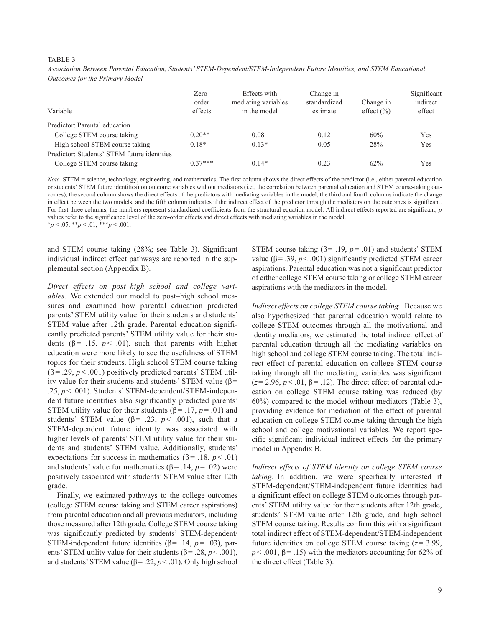### TABLE<sub>3</sub>

*Association Between Parental Education, Students' STEM-Dependent/STEM-Independent Future Identities, and STEM Educational Outcomes for the Primary Model*

| Variable                                    | Zero-<br>order<br>effects | Effects with<br>mediating variables<br>in the model | Change in<br>standardized<br>estimate | Change in<br>effect $(\% )$ | Significant<br>indirect<br>effect |
|---------------------------------------------|---------------------------|-----------------------------------------------------|---------------------------------------|-----------------------------|-----------------------------------|
| Predictor: Parental education               |                           |                                                     |                                       |                             |                                   |
| College STEM course taking                  | $0.20**$                  | 0.08                                                | 0.12                                  | 60%                         | Yes                               |
| High school STEM course taking              | $0.18*$                   | $0.13*$                                             | 0.05                                  | 28%                         | Yes                               |
| Predictor: Students' STEM future identities |                           |                                                     |                                       |                             |                                   |
| College STEM course taking                  | $0.37***$                 | $0.14*$                                             | 0.23                                  | 62%                         | Yes                               |

*Note.* STEM = science, technology, engineering, and mathematics. The first column shows the direct effects of the predictor (i.e., either parental education or students' STEM future identities) on outcome variables without mediators (i.e., the correlation between parental education and STEM course-taking outcomes), the second column shows the direct effects of the predictors with mediating variables in the model, the third and fourth columns indicate the change in effect between the two models, and the fifth column indicates if the indirect effect of the predictor through the mediators on the outcomes is significant. For first three columns, the numbers represent standardized coefficients from the structural equation model. All indirect effects reported are significant; *p* values refer to the significance level of the zero-order effects and direct effects with mediating variables in the model. \**p* < .05, \*\**p* < .01, \*\*\**p* < .001.

and STEM course taking (28%; see Table 3). Significant individual indirect effect pathways are reported in the supplemental section (Appendix B).

*Direct effects on post–high school and college variables.* We extended our model to post–high school measures and examined how parental education predicted parents' STEM utility value for their students and students' STEM value after 12th grade. Parental education significantly predicted parents' STEM utility value for their students ( $\beta$ = .15,  $p$  < .01), such that parents with higher education were more likely to see the usefulness of STEM topics for their students. High school STEM course taking ( $\beta$ = .29,  $p$  < .001) positively predicted parents' STEM utility value for their students and students' STEM value ( $\beta$ = .25, *p* < .001). Students' STEM-dependent/STEM-independent future identities also significantly predicted parents' STEM utility value for their students ( $\beta$ = .17,  $p$ = .01) and students' STEM value ( $\beta$ = .23, *p* < .001), such that a STEM-dependent future identity was associated with higher levels of parents' STEM utility value for their students and students' STEM value. Additionally, students' expectations for success in mathematics ( $\beta$ = .18, *p* < .01) and students' value for mathematics ( $\beta$  = .14,  $p$  = .02) were positively associated with students' STEM value after 12th grade.

Finally, we estimated pathways to the college outcomes (college STEM course taking and STEM career aspirations) from parental education and all previous mediators, including those measured after 12th grade. College STEM course taking was significantly predicted by students' STEM-dependent/ STEM-independent future identities (β= .14, *p=* .03), parents' STEM utility value for their students (β = .28,  $p$  < .001), and students' STEM value ( $\beta$ = .22,  $p$  < .01). Only high school

STEM course taking  $(\beta = .19, p = .01)$  and students' STEM value ( $\beta$ = .39, *p* < .001) significantly predicted STEM career aspirations. Parental education was not a significant predictor of either college STEM course taking or college STEM career aspirations with the mediators in the model.

*Indirect effects on college STEM course taking.* Because we also hypothesized that parental education would relate to college STEM outcomes through all the motivational and identity mediators, we estimated the total indirect effect of parental education through all the mediating variables on high school and college STEM course taking. The total indirect effect of parental education on college STEM course taking through all the mediating variables was significant  $(z=2.96, p<.01, \beta=.12)$ . The direct effect of parental education on college STEM course taking was reduced (by 60%) compared to the model without mediators (Table 3), providing evidence for mediation of the effect of parental education on college STEM course taking through the high school and college motivational variables. We report specific significant individual indirect effects for the primary model in Appendix B.

*Indirect effects of STEM identity on college STEM course taking.* In addition, we were specifically interested if STEM-dependent/STEM-independent future identities had a significant effect on college STEM outcomes through parents' STEM utility value for their students after 12th grade, students' STEM value after 12th grade, and high school STEM course taking. Results confirm this with a significant total indirect effect of STEM-dependent/STEM-independent future identities on college STEM course taking (*z*= 3.99,  $p$ < .001,  $\beta$ = .15) with the mediators accounting for 62% of the direct effect (Table 3).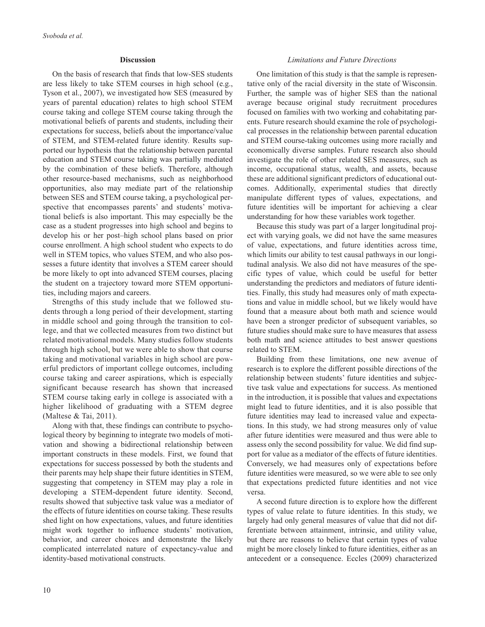# **Discussion**

On the basis of research that finds that low-SES students are less likely to take STEM courses in high school (e.g., Tyson et al., 2007), we investigated how SES (measured by years of parental education) relates to high school STEM course taking and college STEM course taking through the motivational beliefs of parents and students, including their expectations for success, beliefs about the importance/value of STEM, and STEM-related future identity. Results supported our hypothesis that the relationship between parental education and STEM course taking was partially mediated by the combination of these beliefs. Therefore, although other resource-based mechanisms, such as neighborhood opportunities, also may mediate part of the relationship between SES and STEM course taking, a psychological perspective that encompasses parents' and students' motivational beliefs is also important. This may especially be the case as a student progresses into high school and begins to develop his or her post–high school plans based on prior course enrollment. A high school student who expects to do well in STEM topics, who values STEM, and who also possesses a future identity that involves a STEM career should be more likely to opt into advanced STEM courses, placing the student on a trajectory toward more STEM opportunities, including majors and careers.

Strengths of this study include that we followed students through a long period of their development, starting in middle school and going through the transition to college, and that we collected measures from two distinct but related motivational models. Many studies follow students through high school, but we were able to show that course taking and motivational variables in high school are powerful predictors of important college outcomes, including course taking and career aspirations, which is especially significant because research has shown that increased STEM course taking early in college is associated with a higher likelihood of graduating with a STEM degree (Maltese & Tai, 2011).

Along with that, these findings can contribute to psychological theory by beginning to integrate two models of motivation and showing a bidirectional relationship between important constructs in these models. First, we found that expectations for success possessed by both the students and their parents may help shape their future identities in STEM, suggesting that competency in STEM may play a role in developing a STEM-dependent future identity. Second, results showed that subjective task value was a mediator of the effects of future identities on course taking. These results shed light on how expectations, values, and future identities might work together to influence students' motivation, behavior, and career choices and demonstrate the likely complicated interrelated nature of expectancy-value and identity-based motivational constructs.

# *Limitations and Future Directions*

One limitation of this study is that the sample is representative only of the racial diversity in the state of Wisconsin. Further, the sample was of higher SES than the national average because original study recruitment procedures focused on families with two working and cohabitating parents. Future research should examine the role of psychological processes in the relationship between parental education and STEM course-taking outcomes using more racially and economically diverse samples. Future research also should investigate the role of other related SES measures, such as income, occupational status, wealth, and assets, because these are additional significant predictors of educational outcomes. Additionally, experimental studies that directly manipulate different types of values, expectations, and future identities will be important for achieving a clear understanding for how these variables work together.

Because this study was part of a larger longitudinal project with varying goals, we did not have the same measures of value, expectations, and future identities across time, which limits our ability to test causal pathways in our longitudinal analysis. We also did not have measures of the specific types of value, which could be useful for better understanding the predictors and mediators of future identities. Finally, this study had measures only of math expectations and value in middle school, but we likely would have found that a measure about both math and science would have been a stronger predictor of subsequent variables, so future studies should make sure to have measures that assess both math and science attitudes to best answer questions related to STEM.

Building from these limitations, one new avenue of research is to explore the different possible directions of the relationship between students' future identities and subjective task value and expectations for success. As mentioned in the introduction, it is possible that values and expectations might lead to future identities, and it is also possible that future identities may lead to increased value and expectations. In this study, we had strong measures only of value after future identities were measured and thus were able to assess only the second possibility for value. We did find support for value as a mediator of the effects of future identities. Conversely, we had measures only of expectations before future identities were measured, so we were able to see only that expectations predicted future identities and not vice versa.

A second future direction is to explore how the different types of value relate to future identities. In this study, we largely had only general measures of value that did not differentiate between attainment, intrinsic, and utility value, but there are reasons to believe that certain types of value might be more closely linked to future identities, either as an antecedent or a consequence. Eccles (2009) characterized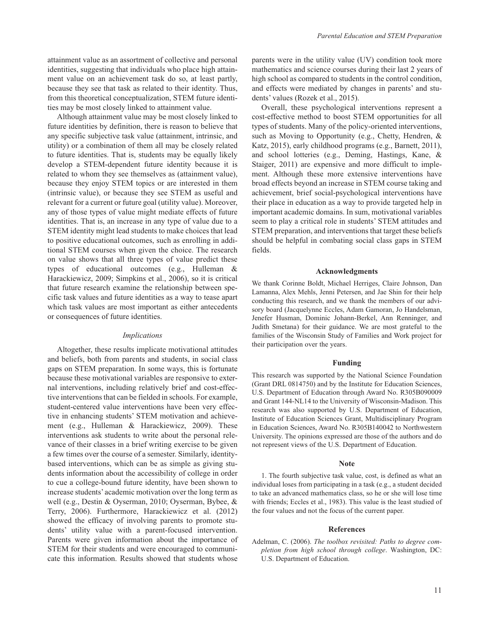attainment value as an assortment of collective and personal identities, suggesting that individuals who place high attainment value on an achievement task do so, at least partly, because they see that task as related to their identity. Thus, from this theoretical conceptualization, STEM future identities may be most closely linked to attainment value.

Although attainment value may be most closely linked to future identities by definition, there is reason to believe that any specific subjective task value (attainment, intrinsic, and utility) or a combination of them all may be closely related to future identities. That is, students may be equally likely develop a STEM-dependent future identity because it is related to whom they see themselves as (attainment value), because they enjoy STEM topics or are interested in them (intrinsic value), or because they see STEM as useful and relevant for a current or future goal (utility value). Moreover, any of those types of value might mediate effects of future identities. That is, an increase in any type of value due to a STEM identity might lead students to make choices that lead to positive educational outcomes, such as enrolling in additional STEM courses when given the choice. The research on value shows that all three types of value predict these types of educational outcomes (e.g., Hulleman & Harackiewicz, 2009; Simpkins et al., 2006), so it is critical that future research examine the relationship between specific task values and future identities as a way to tease apart which task values are most important as either antecedents or consequences of future identities.

## *Implications*

Altogether, these results implicate motivational attitudes and beliefs, both from parents and students, in social class gaps on STEM preparation. In some ways, this is fortunate because these motivational variables are responsive to external interventions, including relatively brief and cost-effective interventions that can be fielded in schools. For example, student-centered value interventions have been very effective in enhancing students' STEM motivation and achievement (e.g., Hulleman & Harackiewicz, 2009). These interventions ask students to write about the personal relevance of their classes in a brief writing exercise to be given a few times over the course of a semester. Similarly, identitybased interventions, which can be as simple as giving students information about the accessibility of college in order to cue a college-bound future identity, have been shown to increase students' academic motivation over the long term as well (e.g., Destin & Oyserman, 2010; Oyserman, Bybee, & Terry, 2006). Furthermore, Harackiewicz et al. (2012) showed the efficacy of involving parents to promote students' utility value with a parent-focused intervention. Parents were given information about the importance of STEM for their students and were encouraged to communicate this information. Results showed that students whose

parents were in the utility value (UV) condition took more mathematics and science courses during their last 2 years of high school as compared to students in the control condition, and effects were mediated by changes in parents' and students' values (Rozek et al., 2015).

Overall, these psychological interventions represent a cost-effective method to boost STEM opportunities for all types of students. Many of the policy-oriented interventions, such as Moving to Opportunity (e.g., Chetty, Hendren, & Katz, 2015), early childhood programs (e.g., Barnett, 2011), and school lotteries (e.g., Deming, Hastings, Kane, & Staiger, 2011) are expensive and more difficult to implement. Although these more extensive interventions have broad effects beyond an increase in STEM course taking and achievement, brief social-psychological interventions have their place in education as a way to provide targeted help in important academic domains. In sum, motivational variables seem to play a critical role in students' STEM attitudes and STEM preparation, and interventions that target these beliefs should be helpful in combating social class gaps in STEM fields.

#### **Acknowledgments**

We thank Corinne Boldt, Michael Herriges, Claire Johnson, Dan Lamanna, Alex Mehls, Jenni Petersen, and Jae Shin for their help conducting this research, and we thank the members of our advisory board (Jacquelynne Eccles, Adam Gamoran, Jo Handelsman, Jenefer Husman, Dominic Johann-Berkel, Ann Renninger, and Judith Smetana) for their guidance. We are most grateful to the families of the Wisconsin Study of Families and Work project for their participation over the years.

#### **Funding**

This research was supported by the National Science Foundation (Grant DRL 0814750) and by the Institute for Education Sciences, U.S. Department of Education through Award No. R305B090009 and Grant 144-NL14 to the University of Wisconsin-Madison. This research was also supported by U.S. Department of Education, Institute of Education Sciences Grant, Multidisciplinary Program in Education Sciences, Award No. R305B140042 to Northwestern University. The opinions expressed are those of the authors and do not represent views of the U.S. Department of Education.

#### **Note**

1. The fourth subjective task value, cost, is defined as what an individual loses from participating in a task (e.g., a student decided to take an advanced mathematics class, so he or she will lose time with friends; Eccles et al., 1983). This value is the least studied of the four values and not the focus of the current paper.

#### **References**

Adelman, C. (2006). *The toolbox revisited: Paths to degree completion from high school through college*. Washington, DC: U.S. Department of Education.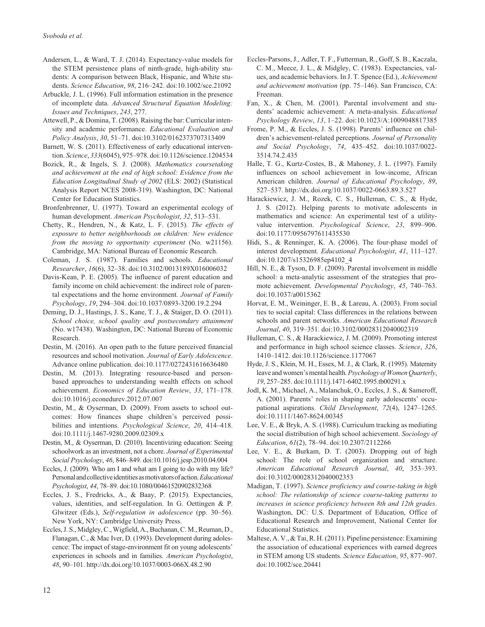- Andersen, L., & Ward, T. J. (2014). Expectancy-value models for the STEM persistence plans of ninth-grade, high-ability students: A comparison between Black, Hispanic, and White students. *Science Education*, *98*, 216–242. doi:10.1002/sce.21092
- Arbuckle, J. L. (1996). Full information estimation in the presence of incomplete data. *Advanced Structural Equation Modeling: Issues and Techniques*, *243*, 277.
- Attewell, P., & Domina, T. (2008). Raising the bar: Curricular intensity and academic performance. *Educational Evaluation and Policy Analysis*, *30*, 51–71. doi:10.3102/0162373707313409
- Barnett, W. S. (2011). Effectiveness of early educational intervention. *Science*, *333*(6045), 975–978. doi:10.1126/science.1204534
- Bozick, R., & Ingels, S. J. (2008). *Mathematics coursetaking and achievement at the end of high school: Evidence from the Education Longitudinal Study of 2002* (ELS: 2002) (Statistical Analysis Report NCES 2008-319). Washington, DC: National Center for Education Statistics.
- Bronfenbrenner, U. (1977). Toward an experimental ecology of human development. *American Psychologist*, *32*, 513–531.
- Chetty, R., Hendren, N., & Katz, L. F. (2015). *The effects of exposure to better neighborhoods on children: New evidence from the moving to opportunity experiment* (No. w21156). Cambridge, MA: National Bureau of Economic Research.
- Coleman, J. S. (1987). Families and schools. *Educational Researcher*, *16*(6), 32–38. doi:10.3102/0013189X016006032
- Davis-Kean, P. E. (2005). The influence of parent education and family income on child achievement: the indirect role of parental expectations and the home environment. *Journal of Family Psychology*, *19*, 294–304. doi:10.1037/0893-3200.19.2.294
- Deming, D. J., Hastings, J. S., Kane, T. J., & Staiger, D. O. (2011). *School choice, school quality and postsecondary attainment* (No. w17438). Washington, DC: National Bureau of Economic Research.
- Destin, M. (2016). An open path to the future perceived financial resources and school motivation. *Journal of Early Adolescence*. Advance online publication. doi:10.1177/0272431616636480
- Destin, M. (2013). Integrating resource-based and personbased approaches to understanding wealth effects on school achievement. *Economics of Education Review*, *33*, 171–178. doi:10.1016/j.econedurev.2012.07.007
- Destin, M., & Oyserman, D. (2009). From assets to school outcomes: How finances shape children's perceived possibilities and intentions. *Psychological Science*, *20*, 414–418. doi:10.1111/j.1467-9280.2009.02309.x
- Destin, M., & Oyserman, D. (2010). Incentivizing education: Seeing schoolwork as an investment, not a chore. *Journal of Experimental Social Psychology*, *46*, 846–849. doi:10.1016/j.jesp.2010.04.004
- Eccles, J. (2009). Who am I and what am I going to do with my life? Personal and collective identities as motivators of action. *Educational Psychologist*, *44*, 78–89. doi:10.1080/00461520902832368
- Eccles, J. S., Fredricks, A., & Baay, P. (2015). Expectancies, values, identities, and self-regulation. In G. Oettingen & P. Glwitzer (Eds.), *Self-regulation in adolescence* (pp. 30–56). New York, NY: Cambridge University Press.
- Eccles, J. S., Midgley, C., Wigfield, A., Buchanan, C. M., Reuman, D., Flanagan, C., & Mac Iver, D. (1993). Development during adolescence: The impact of stage-environment fit on young adolescents' experiences in schools and in families. *American Psychologist*, *48*, 90–101.<http://dx.doi.org/10.1037/0003-066X.48.2.90>
- Eccles-Parsons, J., Adler, T. F., Futterman, R., Goff, S. B., Kaczala, C. M., Meece, J. L., & Midgley, C. (1983). Expectancies, values, and academic behaviors. In J. T. Spence (Ed.), *Achievement and achievement motivation* (pp. 75–146). San Francisco, CA: Freeman.
- Fan, X., & Chen, M. (2001). Parental involvement and students' academic achievement: A meta-analysis. *Educational Psychology Review*, *13*, 1–22. doi:10.1023/A:1009048817385
- Frome, P. M., & Eccles, J. S. (1998). Parents' influence on children's achievement-related perceptions. *Journal of Personality and Social Psychology*, *74*, 435–452. doi:10.1037/0022- 3514.74.2.435
- Halle, T. G., Kurtz-Costes, B., & Mahoney, J. L. (1997). Family influences on school achievement in low-income, African American children. *Journal of Educational Psychology*, *89*, 527–537. <http://dx.doi.org/10.1037/0022-0663.89.3.527>
- Harackiewicz, J. M., Rozek, C. S., Hulleman, C. S., & Hyde, J. S. (2012). Helping parents to motivate adolescents in mathematics and science: An experimental test of a utilityvalue intervention. *Psychological Science*, *23*, 899–906. doi:10.1177/0956797611435530
- Hidi, S., & Renninger, K. A. (2006). The four-phase model of interest development. *Educational Psychologist*, *41*, 111–127. doi:10.1207/s15326985ep4102\_4
- Hill, N. E., & Tyson, D. F. (2009). Parental involvement in middle school: a meta-analytic assessment of the strategies that promote achievement. *Developmental Psychology*, *45*, 740–763. doi:10.1037/a0015362
- Horvat, E. M., Weininger, E. B., & Lareau, A. (2003). From social ties to social capital: Class differences in the relations between schools and parent networks. *American Educational Research Journal*, *40*, 319–351. doi:10.3102/00028312040002319
- Hulleman, C. S., & Harackiewicz, J. M. (2009). Promoting interest and performance in high school science classes. *Science*, *326*, 1410–1412. doi:10.1126/science.1177067
- Hyde, J. S., Klein, M. H., Essex, M. J., & Clark, R. (1995). Maternity leave and women's mental health. *Psychology of Women Quarterly*, *19*, 257–285. doi:10.1111/j.1471-6402.1995.tb00291.x
- Jodl, K. M., Michael, A., Malanchuk, O., Eccles, J. S., & Sameroff, A. (2001). Parents' roles in shaping early adolescents' occupational aspirations. *Child Development*, *72*(4), 1247–1265. doi:10.1111/1467-8624.00345
- Lee, V. E., & Bryk, A. S. (1988). Curriculum tracking as mediating the social distribution of high school achievement. *Sociology of Education*, *61*(2), 78–94. doi:10.2307/2112266
- Lee, V. E., & Burkam, D. T. (2003). Dropping out of high school: The role of school organization and structure. *American Educational Research Journal*, *40*, 353–393. doi:10.3102/00028312040002353
- Madigan, T. (1997). *Science proficiency and course-taking in high school: The relationship of science course-taking patterns to increases in science proficiency between 8th and 12th grades*. Washington, DC: U.S. Department of Education, Office of Educational Research and Improvement, National Center for Educational Statistics.
- Maltese, A. V., & Tai, R. H. (2011). Pipeline persistence: Examining the association of educational experiences with earned degrees in STEM among US students. *Science Education*, *95*, 877–907. doi:10.1002/sce.20441